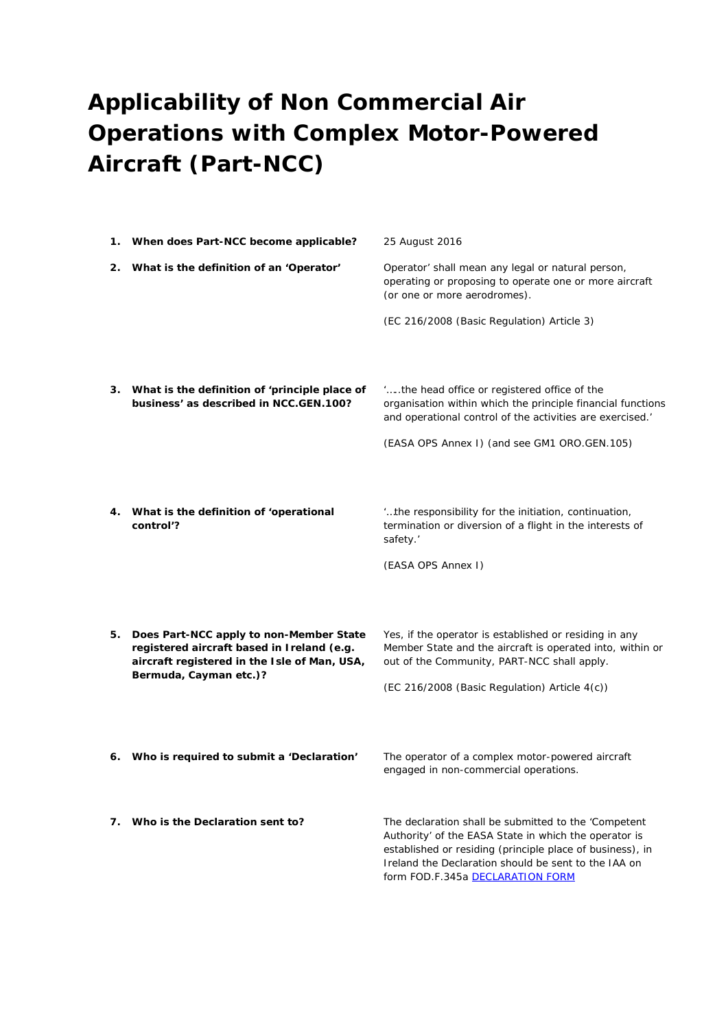## **Applicability of Non Commercial Air Operations with Complex Motor-Powered Aircraft (Part-NCC)**

|    | 1. When does Part-NCC become applicable?                                                                                                                        | 25 August 2016                                                                                                                                                                                                                                                         |
|----|-----------------------------------------------------------------------------------------------------------------------------------------------------------------|------------------------------------------------------------------------------------------------------------------------------------------------------------------------------------------------------------------------------------------------------------------------|
| 2. | What is the definition of an 'Operator'                                                                                                                         | Operator' shall mean any legal or natural person,<br>operating or proposing to operate one or more aircraft<br>(or one or more aerodromes).                                                                                                                            |
|    |                                                                                                                                                                 | (EC 216/2008 (Basic Regulation) Article 3)                                                                                                                                                                                                                             |
|    | 3. What is the definition of 'principle place of<br>business' as described in NCC.GEN.100?                                                                      | "the head office or registered office of the<br>organisation within which the principle financial functions<br>and operational control of the activities are exercised.'                                                                                               |
|    |                                                                                                                                                                 | (EASA OPS Annex I) (and see GM1 ORO.GEN.105)                                                                                                                                                                                                                           |
| 4. | What is the definition of 'operational<br>control'?                                                                                                             | "the responsibility for the initiation, continuation,<br>termination or diversion of a flight in the interests of<br>safety.'<br>(EASA OPS Annex I)                                                                                                                    |
| 5. | Does Part-NCC apply to non-Member State<br>registered aircraft based in Ireland (e.g.<br>aircraft registered in the Isle of Man, USA,<br>Bermuda, Cayman etc.)? | Yes, if the operator is established or residing in any<br>Member State and the aircraft is operated into, within or<br>out of the Community, PART-NCC shall apply.<br>(EC 216/2008 (Basic Regulation) Article 4(c))                                                    |
| 6. | Who is required to submit a 'Declaration'                                                                                                                       | The operator of a complex motor-powered aircraft<br>engaged in non-commercial operations.                                                                                                                                                                              |
| 7. | Who is the Declaration sent to?                                                                                                                                 | The declaration shall be submitted to the 'Competent<br>Authority' of the EASA State in which the operator is<br>established or residing (principle place of business), in<br>Ireland the Declaration should be sent to the IAA on<br>form FOD.F.345a DECLARATION FORM |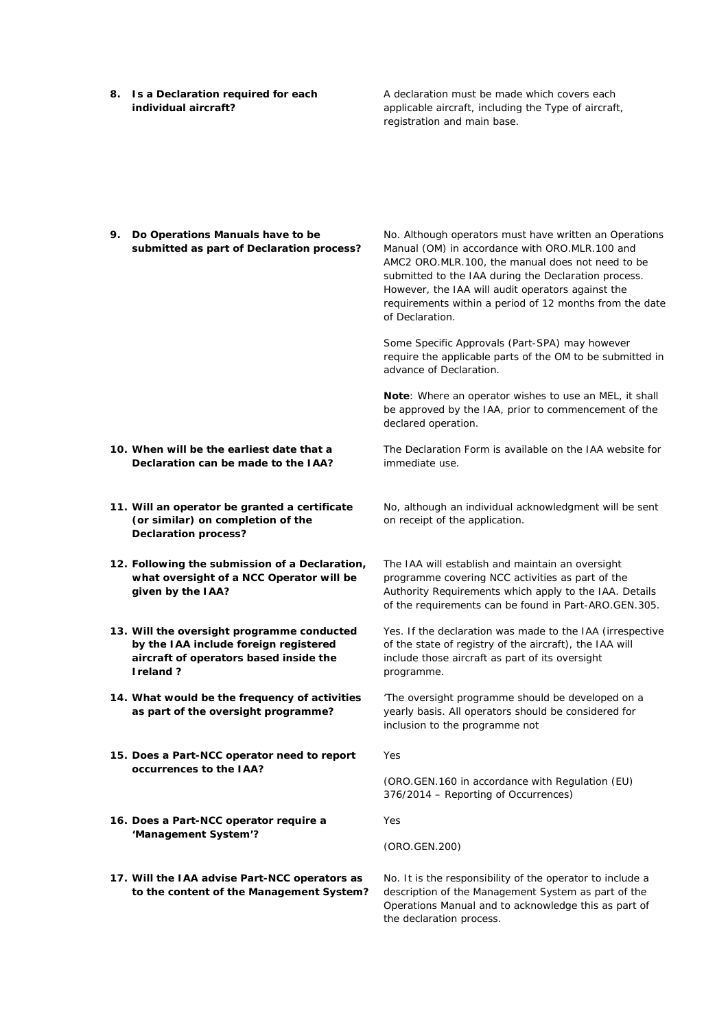**8. Is a Declaration required for each individual aircraft?** 

A declaration must be made which covers each applicable aircraft, including the Type of aircraft, registration and main base.

**9. Do Operations Manuals have to be submitted as part of Declaration process?** 

No. Although operators must have written an Operations Manual (OM) in accordance with ORO.MLR.100 and AMC2 ORO.MLR.100, the manual does not need to be submitted to the IAA during the Declaration process. However, the IAA will audit operators against the requirements within a period of 12 months from the date of Declaration.

Some Specific Approvals (Part-SPA) may however require the applicable parts of the OM to be submitted in advance of Declaration.

**Note**: Where an operator wishes to use an MEL, it shall be approved by the IAA, prior to commencement of the declared operation.

The Declaration Form is available on the IAA website for immediate use.

**10. When will be the earliest date that a Declaration can be made to the IAA?** 

- **11. Will an operator be granted a certificate (or similar) on completion of the Declaration process?**
- **12. Following the submission of a Declaration, what oversight of a NCC Operator will be given by the IAA?**
- **13. Will the oversight programme conducted by the IAA include foreign registered aircraft of operators based inside the Ireland ?**
- **14. What would be the frequency of activities as part of the oversight programme?**
- **15. Does a Part-NCC operator need to report occurrences to the IAA?**
- **16. Does a Part-NCC operator require a 'Management System'?**
- **17. Will the IAA advise Part-NCC operators as to the content of the Management System?**

No, although an individual acknowledgment will be sent on receipt of the application.

The IAA will establish and maintain an oversight programme covering NCC activities as part of the Authority Requirements which apply to the IAA. Details of the requirements can be found in Part-ARO.GEN.305.

Yes. If the declaration was made to the IAA (irrespective of the state of registry of the aircraft), the IAA will include those aircraft as part of its oversight programme.

'The oversight programme should be developed on a yearly basis. All operators should be considered for inclusion to the programme not

Yes

(ORO.GEN.160 in accordance with Regulation (EU) 376/2014 – Reporting of Occurrences)

Yes

(ORO.GEN.200)

No. It is the responsibility of the operator to include a description of the Management System as part of the Operations Manual and to acknowledge this as part of the declaration process.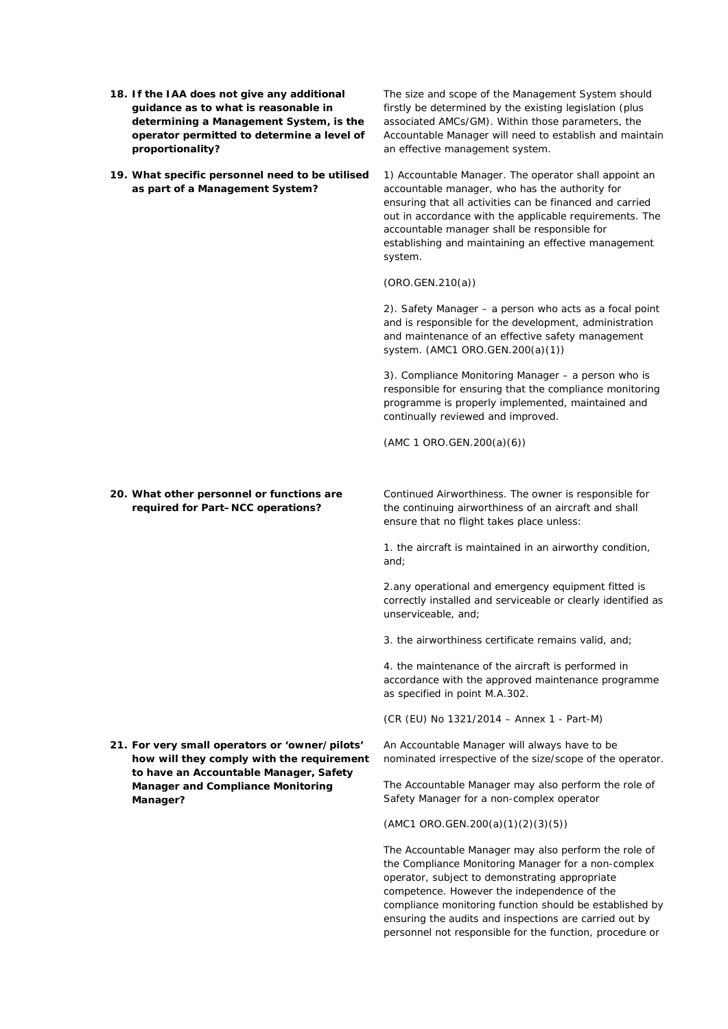- **18. If the IAA does not give any additional guidance as to what is reasonable in determining a Management System, is the operator permitted to determine a level of proportionality?**
- **19. What specific personnel need to be utilised as part of a Management System?**

The size and scope of the Management System should firstly be determined by the existing legislation (plus associated AMCs/GM). Within those parameters, the Accountable Manager will need to establish and maintain an effective management system.

1) Accountable Manager. The operator shall appoint an accountable manager, who has the authority for ensuring that all activities can be financed and carried out in accordance with the applicable requirements. The accountable manager shall be responsible for establishing and maintaining an effective management system.

(ORO.GEN.210(a))

2). Safety Manager – a person who acts as a focal point and is responsible for the development, administration and maintenance of an effective safety management system. (AMC1 ORO.GEN.200(a)(1))

3). Compliance Monitoring Manager – a person who is responsible for ensuring that the compliance monitoring programme is properly implemented, maintained and continually reviewed and improved.

(AMC 1 ORO.GEN.200(a)(6))

**20. What other personnel or functions are required for Part–NCC operations?** 

**21. For very small operators or 'owner/pilots' how will they comply with the requirement to have an Accountable Manager, Safety Manager and Compliance Monitoring Manager?** 

Continued Airworthiness. The owner is responsible for the continuing airworthiness of an aircraft and shall ensure that no flight takes place unless:

1. the aircraft is maintained in an airworthy condition, and;

2.any operational and emergency equipment fitted is correctly installed and serviceable or clearly identified as unserviceable, and;

3. the airworthiness certificate remains valid, and;

4. the maintenance of the aircraft is performed in accordance with the approved maintenance programme as specified in point M.A.302.

(CR (EU) No 1321/2014 – Annex 1 - Part-M)

An Accountable Manager will always have to be nominated irrespective of the size/scope of the operator.

The Accountable Manager may also perform the role of Safety Manager for a non-complex operator

(AMC1 ORO.GEN.200(a)(1)(2)(3)(5))

The Accountable Manager may also perform the role of the Compliance Monitoring Manager for a non-complex operator, subject to demonstrating appropriate competence. However the independence of the compliance monitoring function should be established by ensuring the audits and inspections are carried out by personnel not responsible for the function, procedure or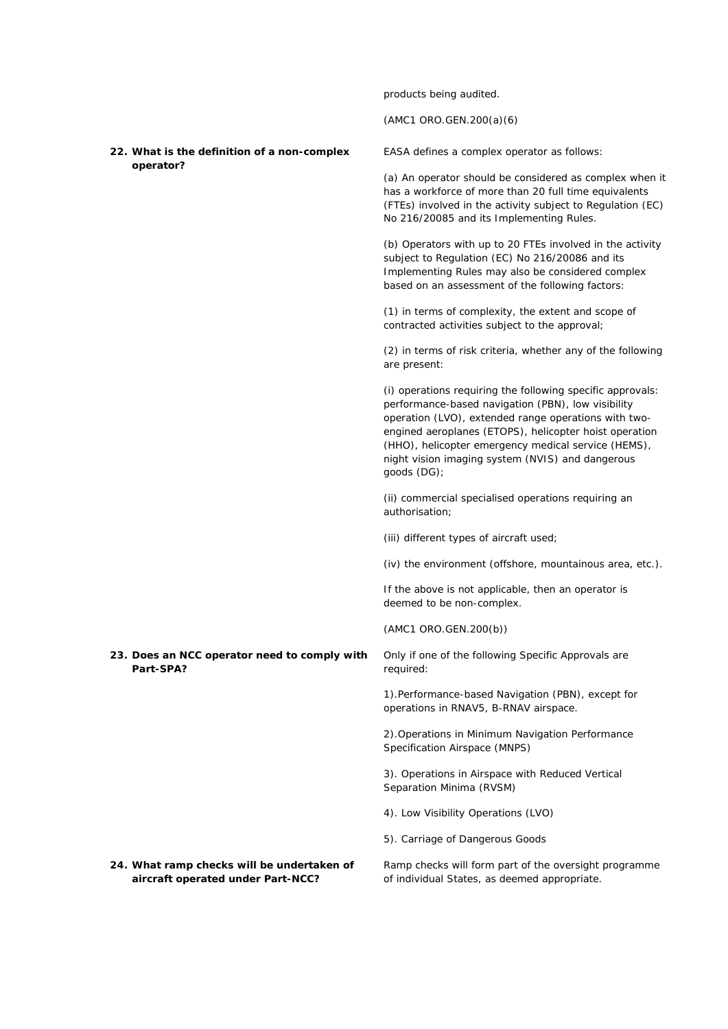products being audited.

(AMC1 ORO.GEN.200(a)(6)

**22. What is the definition of a non-complex operator?** 

EASA defines a complex operator as follows:

(a) An operator should be considered as complex when it has a workforce of more than 20 full time equivalents (FTEs) involved in the activity subject to Regulation (EC) No 216/20085 and its Implementing Rules.

(b) Operators with up to 20 FTEs involved in the activity subject to Regulation (EC) No 216/20086 and its Implementing Rules may also be considered complex based on an assessment of the following factors:

(1) in terms of complexity, the extent and scope of contracted activities subject to the approval;

(2) in terms of risk criteria, whether any of the following are present:

(i) operations requiring the following specific approvals: performance-based navigation (PBN), low visibility operation (LVO), extended range operations with twoengined aeroplanes (ETOPS), helicopter hoist operation (HHO), helicopter emergency medical service (HEMS), night vision imaging system (NVIS) and dangerous goods (DG);

(ii) commercial specialised operations requiring an authorisation;

(iii) different types of aircraft used;

(iv) the environment (offshore, mountainous area, etc.).

If the above is not applicable, then an operator is deemed to be non-complex.

(AMC1 ORO.GEN.200(b))

required:

**23. Does an NCC operator need to comply with Part-SPA?** 

> 1).Performance-based Navigation (PBN), except for operations in RNAV5, B-RNAV airspace.

Only if one of the following Specific Approvals are

2).Operations in Minimum Navigation Performance Specification Airspace (MNPS)

3). Operations in Airspace with Reduced Vertical Separation Minima (RVSM)

- 4). Low Visibility Operations (LVO)
- 5). Carriage of Dangerous Goods

**24. What ramp checks will be undertaken of aircraft operated under Part-NCC?** 

Ramp checks will form part of the oversight programme of individual States, as deemed appropriate.